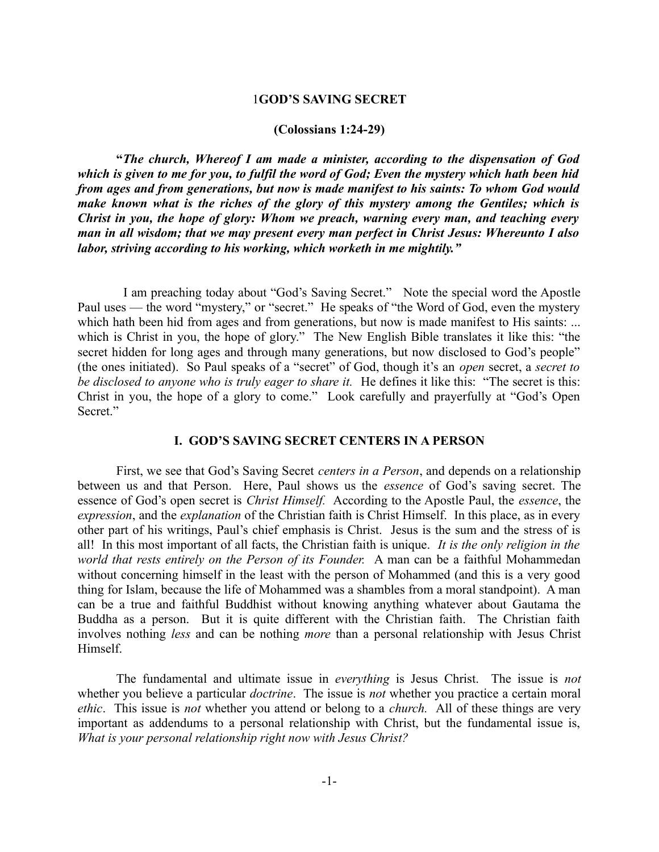# 1**GOD'S SAVING SECRET**

#### **(Colossians 1:24-29)**

**"***The church, Whereof I am made a minister, according to the dispensation of God which is given to me for you, to fulfil the word of God; Even the mystery which hath been hid from ages and from generations, but now is made manifest to his saints: To whom God would make known what is the riches of the glory of this mystery among the Gentiles; which is Christ in you, the hope of glory: Whom we preach, warning every man, and teaching every man in all wisdom; that we may present every man perfect in Christ Jesus: Whereunto I also labor, striving according to his working, which worketh in me mightily."*

 I am preaching today about "God's Saving Secret." Note the special word the Apostle Paul uses — the word "mystery," or "secret." He speaks of "the Word of God, even the mystery which hath been hid from ages and from generations, but now is made manifest to His saints: ... which is Christ in you, the hope of glory." The New English Bible translates it like this: "the secret hidden for long ages and through many generations, but now disclosed to God's people" (the ones initiated). So Paul speaks of a "secret" of God, though it's an *open* secret, a *secret to be disclosed to anyone who is truly eager to share it.* He defines it like this: "The secret is this: Christ in you, the hope of a glory to come." Look carefully and prayerfully at "God's Open Secret."

# **I. GOD'S SAVING SECRET CENTERS IN A PERSON**

First, we see that God's Saving Secret *centers in a Person*, and depends on a relationship between us and that Person. Here, Paul shows us the *essence* of God's saving secret. The essence of God's open secret is *Christ Himself.* According to the Apostle Paul, the *essence*, the *expression*, and the *explanation* of the Christian faith is Christ Himself. In this place, as in every other part of his writings, Paul's chief emphasis is Christ. Jesus is the sum and the stress of is all! In this most important of all facts, the Christian faith is unique. *It is the only religion in the world that rests entirely on the Person of its Founder.* A man can be a faithful Mohammedan without concerning himself in the least with the person of Mohammed (and this is a very good thing for Islam, because the life of Mohammed was a shambles from a moral standpoint). A man can be a true and faithful Buddhist without knowing anything whatever about Gautama the Buddha as a person. But it is quite different with the Christian faith. The Christian faith involves nothing *less* and can be nothing *more* than a personal relationship with Jesus Christ Himself.

The fundamental and ultimate issue in *everything* is Jesus Christ. The issue is *not* whether you believe a particular *doctrine*. The issue is *not* whether you practice a certain moral *ethic*. This issue is *not* whether you attend or belong to a *church.* All of these things are very important as addendums to a personal relationship with Christ, but the fundamental issue is, *What is your personal relationship right now with Jesus Christ?*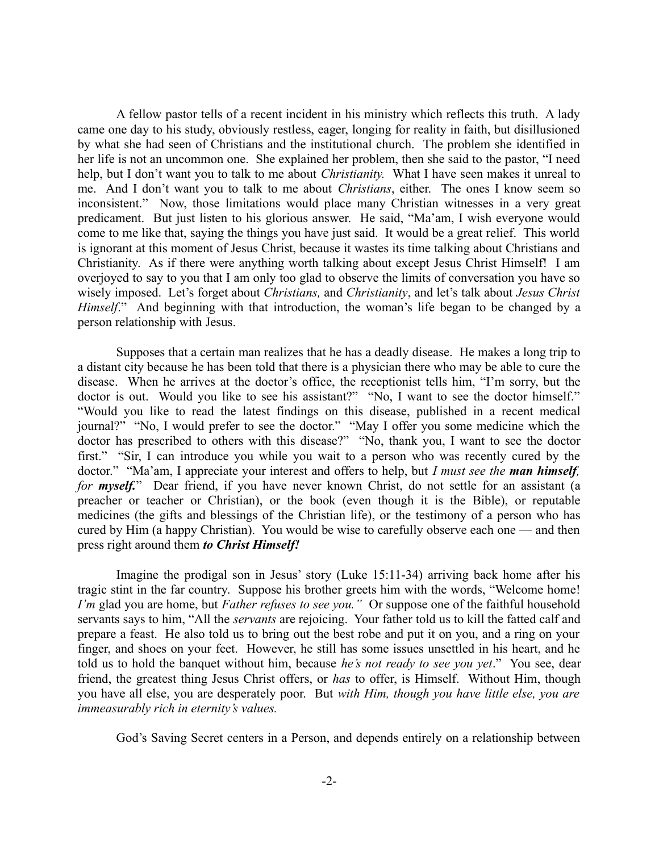A fellow pastor tells of a recent incident in his ministry which reflects this truth. A lady came one day to his study, obviously restless, eager, longing for reality in faith, but disillusioned by what she had seen of Christians and the institutional church. The problem she identified in her life is not an uncommon one. She explained her problem, then she said to the pastor, "I need help, but I don't want you to talk to me about *Christianity.* What I have seen makes it unreal to me. And I don't want you to talk to me about *Christians*, either. The ones I know seem so inconsistent." Now, those limitations would place many Christian witnesses in a very great predicament. But just listen to his glorious answer. He said, "Ma'am, I wish everyone would come to me like that, saying the things you have just said. It would be a great relief. This world is ignorant at this moment of Jesus Christ, because it wastes its time talking about Christians and Christianity. As if there were anything worth talking about except Jesus Christ Himself! I am overjoyed to say to you that I am only too glad to observe the limits of conversation you have so wisely imposed. Let's forget about *Christians,* and *Christianity*, and let's talk about *Jesus Christ Himself*." And beginning with that introduction, the woman's life began to be changed by a person relationship with Jesus.

Supposes that a certain man realizes that he has a deadly disease. He makes a long trip to a distant city because he has been told that there is a physician there who may be able to cure the disease. When he arrives at the doctor's office, the receptionist tells him, "I'm sorry, but the doctor is out. Would you like to see his assistant?" "No, I want to see the doctor himself." "Would you like to read the latest findings on this disease, published in a recent medical journal?" "No, I would prefer to see the doctor." "May I offer you some medicine which the doctor has prescribed to others with this disease?" "No, thank you, I want to see the doctor first." "Sir, I can introduce you while you wait to a person who was recently cured by the doctor." "Ma'am, I appreciate your interest and offers to help, but *I must see the man himself, for myself.*" Dear friend, if you have never known Christ, do not settle for an assistant (a preacher or teacher or Christian), or the book (even though it is the Bible), or reputable medicines (the gifts and blessings of the Christian life), or the testimony of a person who has cured by Him (a happy Christian). You would be wise to carefully observe each one — and then press right around them *to Christ Himself!*

Imagine the prodigal son in Jesus' story (Luke 15:11-34) arriving back home after his tragic stint in the far country. Suppose his brother greets him with the words, "Welcome home! *I'm* glad you are home, but *Father refuses to see you.*" Or suppose one of the faithful household servants says to him, "All the *servants* are rejoicing. Your father told us to kill the fatted calf and prepare a feast. He also told us to bring out the best robe and put it on you, and a ring on your finger, and shoes on your feet. However, he still has some issues unsettled in his heart, and he told us to hold the banquet without him, because *he's not ready to see you yet*." You see, dear friend, the greatest thing Jesus Christ offers, or *has* to offer, is Himself. Without Him, though you have all else, you are desperately poor. But *with Him, though you have little else, you are immeasurably rich in eternity's values.* 

God's Saving Secret centers in a Person, and depends entirely on a relationship between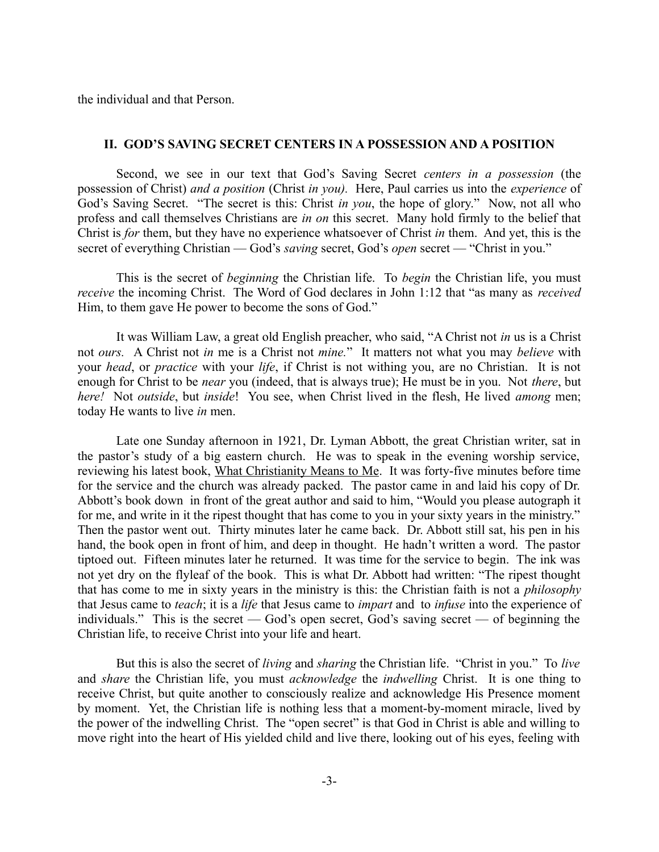the individual and that Person.

# **II. GOD'S SAVING SECRET CENTERS IN A POSSESSION AND A POSITION**

Second, we see in our text that God's Saving Secret *centers in a possession* (the possession of Christ) *and a position* (Christ *in you).* Here, Paul carries us into the *experience* of God's Saving Secret. "The secret is this: Christ *in you*, the hope of glory." Now, not all who profess and call themselves Christians are *in on* this secret. Many hold firmly to the belief that Christ is *for* them, but they have no experience whatsoever of Christ *in* them. And yet, this is the secret of everything Christian — God's *saving* secret, God's *open* secret — "Christ in you."

This is the secret of *beginning* the Christian life. To *begin* the Christian life, you must *receive* the incoming Christ. The Word of God declares in John 1:12 that "as many as *received* Him, to them gave He power to become the sons of God."

It was William Law, a great old English preacher, who said, "A Christ not *in* us is a Christ not *ours.* A Christ not *in* me is a Christ not *mine.*" It matters not what you may *believe* with your *head*, or *practice* with your *life*, if Christ is not withing you, are no Christian. It is not enough for Christ to be *near* you (indeed, that is always true); He must be in you. Not *there*, but *here!* Not *outside*, but *inside*! You see, when Christ lived in the flesh, He lived *among* men; today He wants to live *in* men.

Late one Sunday afternoon in 1921, Dr. Lyman Abbott, the great Christian writer, sat in the pastor's study of a big eastern church. He was to speak in the evening worship service, reviewing his latest book, What Christianity Means to Me. It was forty-five minutes before time for the service and the church was already packed. The pastor came in and laid his copy of Dr. Abbott's book down in front of the great author and said to him, "Would you please autograph it for me, and write in it the ripest thought that has come to you in your sixty years in the ministry." Then the pastor went out. Thirty minutes later he came back. Dr. Abbott still sat, his pen in his hand, the book open in front of him, and deep in thought. He hadn't written a word. The pastor tiptoed out. Fifteen minutes later he returned. It was time for the service to begin. The ink was not yet dry on the flyleaf of the book. This is what Dr. Abbott had written: "The ripest thought that has come to me in sixty years in the ministry is this: the Christian faith is not a *philosophy* that Jesus came to *teach*; it is a *life* that Jesus came to *impart* and to *infuse* into the experience of individuals." This is the secret — God's open secret, God's saving secret — of beginning the Christian life, to receive Christ into your life and heart.

But this is also the secret of *living* and *sharing* the Christian life. "Christ in you." To *live* and *share* the Christian life, you must *acknowledge* the *indwelling* Christ. It is one thing to receive Christ, but quite another to consciously realize and acknowledge His Presence moment by moment. Yet, the Christian life is nothing less that a moment-by-moment miracle, lived by the power of the indwelling Christ. The "open secret" is that God in Christ is able and willing to move right into the heart of His yielded child and live there, looking out of his eyes, feeling with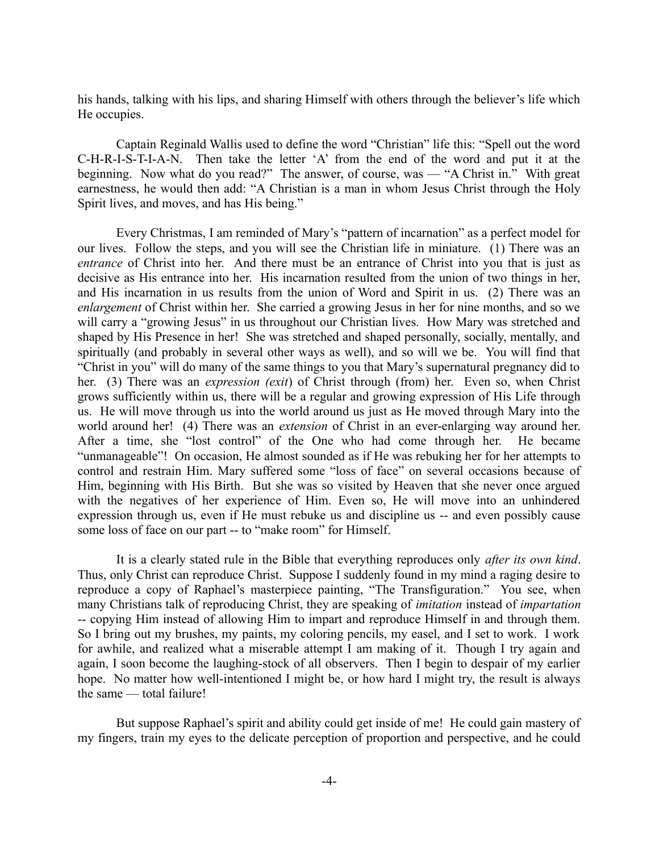his hands, talking with his lips, and sharing Himself with others through the believer's life which He occupies.

Captain Reginald Wallis used to define the word "Christian" life this: "Spell out the word C-H-R-I-S-T-I-A-N. Then take the letter 'A' from the end of the word and put it at the beginning. Now what do you read?" The answer, of course, was — "A Christ in." With great earnestness, he would then add: "A Christian is a man in whom Jesus Christ through the Holy Spirit lives, and moves, and has His being."

Every Christmas, I am reminded of Mary's "pattern of incarnation" as a perfect model for our lives. Follow the steps, and you will see the Christian life in miniature. (1) There was an *entrance* of Christ into her. And there must be an entrance of Christ into you that is just as decisive as His entrance into her. His incarnation resulted from the union of two things in her, and His incarnation in us results from the union of Word and Spirit in us. (2) There was an *enlargement* of Christ within her. She carried a growing Jesus in her for nine months, and so we will carry a "growing Jesus" in us throughout our Christian lives. How Mary was stretched and shaped by His Presence in her! She was stretched and shaped personally, socially, mentally, and spiritually (and probably in several other ways as well), and so will we be. You will find that "Christ in you" will do many of the same things to you that Mary's supernatural pregnancy did to her. (3) There was an *expression (exit*) of Christ through (from) her. Even so, when Christ grows sufficiently within us, there will be a regular and growing expression of His Life through us. He will move through us into the world around us just as He moved through Mary into the world around her! (4) There was an *extension* of Christ in an ever-enlarging way around her. After a time, she "lost control" of the One who had come through her. He became "unmanageable"! On occasion, He almost sounded as if He was rebuking her for her attempts to control and restrain Him. Mary suffered some "loss of face" on several occasions because of Him, beginning with His Birth. But she was so visited by Heaven that she never once argued with the negatives of her experience of Him. Even so, He will move into an unhindered expression through us, even if He must rebuke us and discipline us -- and even possibly cause some loss of face on our part -- to "make room" for Himself.

It is a clearly stated rule in the Bible that everything reproduces only *after its own kind*. Thus, only Christ can reproduce Christ. Suppose I suddenly found in my mind a raging desire to reproduce a copy of Raphael's masterpiece painting, "The Transfiguration." You see, when many Christians talk of reproducing Christ, they are speaking of *imitation* instead of *impartation* -- copying Him instead of allowing Him to impart and reproduce Himself in and through them. So I bring out my brushes, my paints, my coloring pencils, my easel, and I set to work. I work for awhile, and realized what a miserable attempt I am making of it. Though I try again and again, I soon become the laughing-stock of all observers. Then I begin to despair of my earlier hope. No matter how well-intentioned I might be, or how hard I might try, the result is always the same — total failure!

But suppose Raphael's spirit and ability could get inside of me! He could gain mastery of my fingers, train my eyes to the delicate perception of proportion and perspective, and he could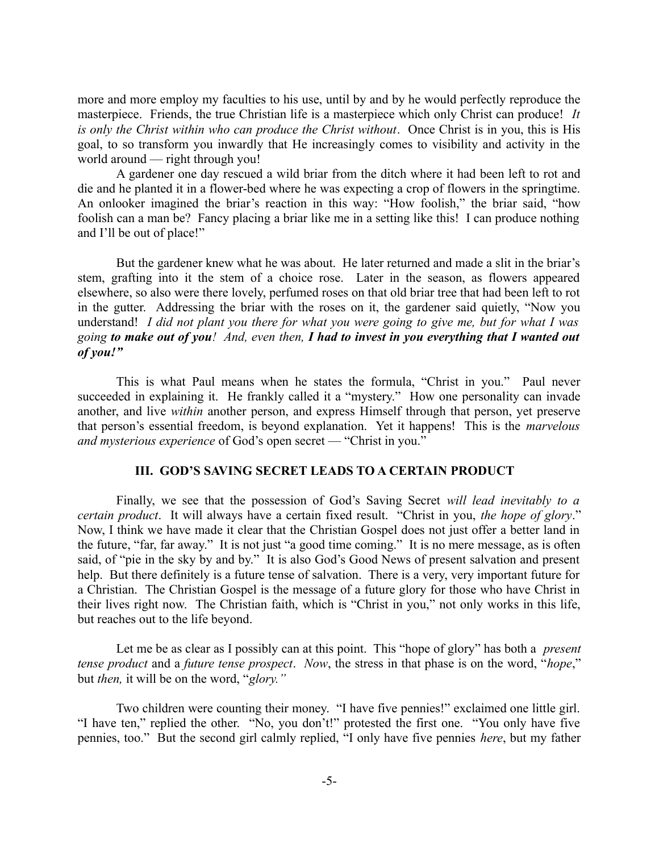more and more employ my faculties to his use, until by and by he would perfectly reproduce the masterpiece. Friends, the true Christian life is a masterpiece which only Christ can produce! *It is only the Christ within who can produce the Christ without*. Once Christ is in you, this is His goal, to so transform you inwardly that He increasingly comes to visibility and activity in the world around — right through you!

A gardener one day rescued a wild briar from the ditch where it had been left to rot and die and he planted it in a flower-bed where he was expecting a crop of flowers in the springtime. An onlooker imagined the briar's reaction in this way: "How foolish," the briar said, "how foolish can a man be? Fancy placing a briar like me in a setting like this! I can produce nothing and I'll be out of place!"

But the gardener knew what he was about. He later returned and made a slit in the briar's stem, grafting into it the stem of a choice rose. Later in the season, as flowers appeared elsewhere, so also were there lovely, perfumed roses on that old briar tree that had been left to rot in the gutter. Addressing the briar with the roses on it, the gardener said quietly, "Now you understand! *I did not plant you there for what you were going to give me, but for what I was going to make out of you! And, even then, I had to invest in you everything that I wanted out of you!"*

This is what Paul means when he states the formula, "Christ in you." Paul never succeeded in explaining it. He frankly called it a "mystery." How one personality can invade another, and live *within* another person, and express Himself through that person, yet preserve that person's essential freedom, is beyond explanation. Yet it happens! This is the *marvelous and mysterious experience* of God's open secret — "Christ in you."

# **III. GOD'S SAVING SECRET LEADS TO A CERTAIN PRODUCT**

Finally, we see that the possession of God's Saving Secret *will lead inevitably to a certain product*. It will always have a certain fixed result. "Christ in you, *the hope of glory*." Now, I think we have made it clear that the Christian Gospel does not just offer a better land in the future, "far, far away." It is not just "a good time coming." It is no mere message, as is often said, of "pie in the sky by and by." It is also God's Good News of present salvation and present help. But there definitely is a future tense of salvation. There is a very, very important future for a Christian. The Christian Gospel is the message of a future glory for those who have Christ in their lives right now. The Christian faith, which is "Christ in you," not only works in this life, but reaches out to the life beyond.

Let me be as clear as I possibly can at this point. This "hope of glory" has both a *present tense product* and a *future tense prospect*. *Now*, the stress in that phase is on the word, "*hope*," but *then,* it will be on the word, "*glory."* 

Two children were counting their money. "I have five pennies!" exclaimed one little girl. "I have ten," replied the other. "No, you don't!" protested the first one. "You only have five pennies, too." But the second girl calmly replied, "I only have five pennies *here*, but my father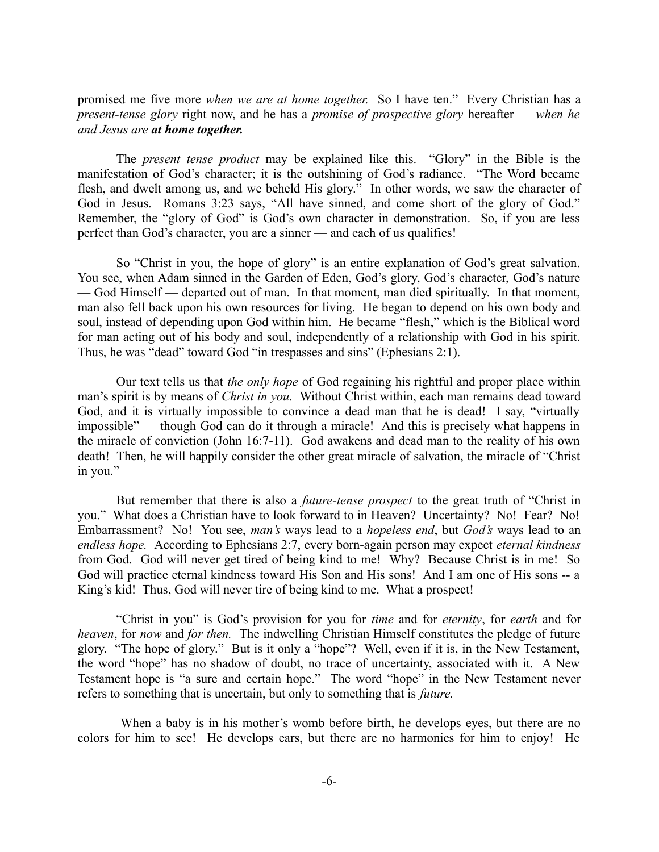promised me five more *when we are at home together.* So I have ten." Every Christian has a *present-tense glory* right now, and he has a *promise of prospective glory* hereafter — *when he and Jesus are at home together.* 

The *present tense product* may be explained like this. "Glory" in the Bible is the manifestation of God's character; it is the outshining of God's radiance. "The Word became flesh, and dwelt among us, and we beheld His glory." In other words, we saw the character of God in Jesus. Romans 3:23 says, "All have sinned, and come short of the glory of God." Remember, the "glory of God" is God's own character in demonstration. So, if you are less perfect than God's character, you are a sinner — and each of us qualifies!

So "Christ in you, the hope of glory" is an entire explanation of God's great salvation. You see, when Adam sinned in the Garden of Eden, God's glory, God's character, God's nature — God Himself — departed out of man. In that moment, man died spiritually. In that moment, man also fell back upon his own resources for living. He began to depend on his own body and soul, instead of depending upon God within him. He became "flesh," which is the Biblical word for man acting out of his body and soul, independently of a relationship with God in his spirit. Thus, he was "dead" toward God "in trespasses and sins" (Ephesians 2:1).

Our text tells us that *the only hope* of God regaining his rightful and proper place within man's spirit is by means of *Christ in you.* Without Christ within, each man remains dead toward God, and it is virtually impossible to convince a dead man that he is dead! I say, "virtually impossible" — though God can do it through a miracle! And this is precisely what happens in the miracle of conviction (John 16:7-11). God awakens and dead man to the reality of his own death! Then, he will happily consider the other great miracle of salvation, the miracle of "Christ in you."

But remember that there is also a *future-tense prospect* to the great truth of "Christ in you." What does a Christian have to look forward to in Heaven? Uncertainty? No! Fear? No! Embarrassment? No! You see, *man's* ways lead to a *hopeless end*, but *God's* ways lead to an *endless hope.* According to Ephesians 2:7, every born-again person may expect *eternal kindness* from God. God will never get tired of being kind to me! Why? Because Christ is in me! So God will practice eternal kindness toward His Son and His sons! And I am one of His sons -- a King's kid! Thus, God will never tire of being kind to me. What a prospect!

"Christ in you" is God's provision for you for *time* and for *eternity*, for *earth* and for *heaven*, for *now* and *for then.* The indwelling Christian Himself constitutes the pledge of future glory. "The hope of glory." But is it only a "hope"? Well, even if it is, in the New Testament, the word "hope" has no shadow of doubt, no trace of uncertainty, associated with it. A New Testament hope is "a sure and certain hope." The word "hope" in the New Testament never refers to something that is uncertain, but only to something that is *future.* 

 When a baby is in his mother's womb before birth, he develops eyes, but there are no colors for him to see! He develops ears, but there are no harmonies for him to enjoy! He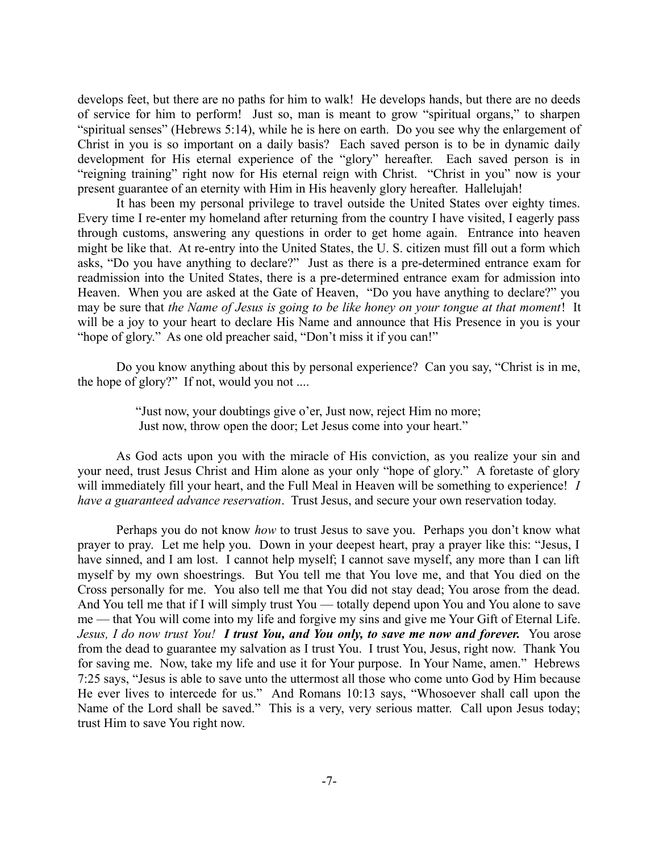develops feet, but there are no paths for him to walk! He develops hands, but there are no deeds of service for him to perform! Just so, man is meant to grow "spiritual organs," to sharpen "spiritual senses" (Hebrews 5:14), while he is here on earth. Do you see why the enlargement of Christ in you is so important on a daily basis? Each saved person is to be in dynamic daily development for His eternal experience of the "glory" hereafter. Each saved person is in "reigning training" right now for His eternal reign with Christ. "Christ in you" now is your present guarantee of an eternity with Him in His heavenly glory hereafter. Hallelujah!

It has been my personal privilege to travel outside the United States over eighty times. Every time I re-enter my homeland after returning from the country I have visited, I eagerly pass through customs, answering any questions in order to get home again. Entrance into heaven might be like that. At re-entry into the United States, the U. S. citizen must fill out a form which asks, "Do you have anything to declare?" Just as there is a pre-determined entrance exam for readmission into the United States, there is a pre-determined entrance exam for admission into Heaven. When you are asked at the Gate of Heaven, "Do you have anything to declare?" you may be sure that *the Name of Jesus is going to be like honey on your tongue at that moment*! It will be a joy to your heart to declare His Name and announce that His Presence in you is your "hope of glory." As one old preacher said, "Don't miss it if you can!"

Do you know anything about this by personal experience? Can you say, "Christ is in me, the hope of glory?" If not, would you not ....

> "Just now, your doubtings give o'er, Just now, reject Him no more; Just now, throw open the door; Let Jesus come into your heart."

As God acts upon you with the miracle of His conviction, as you realize your sin and your need, trust Jesus Christ and Him alone as your only "hope of glory." A foretaste of glory will immediately fill your heart, and the Full Meal in Heaven will be something to experience! *I have a guaranteed advance reservation*. Trust Jesus, and secure your own reservation today.

Perhaps you do not know *how* to trust Jesus to save you. Perhaps you don't know what prayer to pray. Let me help you. Down in your deepest heart, pray a prayer like this: "Jesus, I have sinned, and I am lost. I cannot help myself; I cannot save myself, any more than I can lift myself by my own shoestrings. But You tell me that You love me, and that You died on the Cross personally for me. You also tell me that You did not stay dead; You arose from the dead. And You tell me that if I will simply trust You — totally depend upon You and You alone to save me — that You will come into my life and forgive my sins and give me Your Gift of Eternal Life. *Jesus, I do now trust You! I trust You, and You only, to save me now and forever.* You arose from the dead to guarantee my salvation as I trust You. I trust You, Jesus, right now. Thank You for saving me. Now, take my life and use it for Your purpose. In Your Name, amen." Hebrews 7:25 says, "Jesus is able to save unto the uttermost all those who come unto God by Him because He ever lives to intercede for us." And Romans 10:13 says, "Whosoever shall call upon the Name of the Lord shall be saved." This is a very, very serious matter. Call upon Jesus today; trust Him to save You right now.